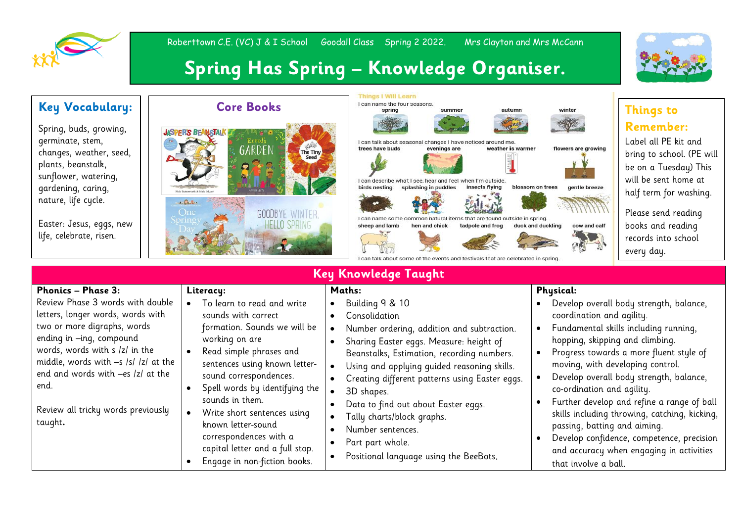

## Roberttown C.E. (VC) J & I School Goodall Class Spring 2 2022. Mrs Clayton and Mrs McCann

## **Spring Has Spring – Knowledge Organiser.**

| <b>Key Vocabulary:</b><br>Spring, buds, growing,<br>germinate, stem,<br>changes, weather, seed,<br>plants, beanstalk,<br>sunflower, watering,<br>gardening, caring,<br>nature, life cycle.<br>Easter: Jesus, eggs, new<br>life, celebrate, risen.                                                                                     | <b>Core Books</b><br><b>JASPER'S BEANSTAIN</b><br>Errol's<br>GARDEN<br>The Tiny<br><b>Seed</b><br>$E = \frac{\sum_{i=1}^{n} x_i}{n}$<br><b>One</b><br><b>GOODBYE WINTER</b><br>HELLO SPRINO                                                                                                                                                                                                                   | <b>Things I Will Learn</b><br>I can name the four seasons.<br>autumn<br>spring<br>summer<br>I can talk about seasonal changes I have noticed around me<br>trees have buds<br>evenings are<br>weather is warmer<br>I can describe what I see, hear and feel when I'm outside<br>birds nesting<br>splashing in puddles<br>insects flying<br>found outside in<br>sheep and lamb<br>hen and chick<br>tadpole and frog<br>ie of the events and festivals that are celebrated in spring                                                                                             | winter<br>flowers are growing<br>blossom on trees<br>gentle breeze<br>duck and duckling<br>cow and calf                                                                                                    | <b>Things to</b><br><b>Remember:</b><br>Label all PE kit and<br>bring to school. (PE will<br>be on a Tuesday) This<br>will be sent home at<br>half term for washing.<br>Please send reading<br>books and reading<br>records into school<br>every day.                                                                                                          |  |  |  |
|---------------------------------------------------------------------------------------------------------------------------------------------------------------------------------------------------------------------------------------------------------------------------------------------------------------------------------------|---------------------------------------------------------------------------------------------------------------------------------------------------------------------------------------------------------------------------------------------------------------------------------------------------------------------------------------------------------------------------------------------------------------|-------------------------------------------------------------------------------------------------------------------------------------------------------------------------------------------------------------------------------------------------------------------------------------------------------------------------------------------------------------------------------------------------------------------------------------------------------------------------------------------------------------------------------------------------------------------------------|------------------------------------------------------------------------------------------------------------------------------------------------------------------------------------------------------------|----------------------------------------------------------------------------------------------------------------------------------------------------------------------------------------------------------------------------------------------------------------------------------------------------------------------------------------------------------------|--|--|--|
| <b>Key Knowledge Taught</b>                                                                                                                                                                                                                                                                                                           |                                                                                                                                                                                                                                                                                                                                                                                                               |                                                                                                                                                                                                                                                                                                                                                                                                                                                                                                                                                                               |                                                                                                                                                                                                            |                                                                                                                                                                                                                                                                                                                                                                |  |  |  |
| <b>Phonics - Phase 3:</b><br>Review Phase 3 words with double<br>letters, longer words, words with<br>two or more digraphs, words<br>ending in -ing, compound<br>words, words with s /z/ in the<br>middle, words with -s /s/ /z/ at the<br>end and words with -es /z/ at the<br>end.<br>Review all tricky words previously<br>taught. | Literacy:<br>To learn to read and write<br>sounds with correct<br>formation. Sounds we will be<br>working on are<br>Read simple phrases and<br>sentences using known letter-<br>sound correspondences.<br>Spell words by identifying the<br>sounds in them.<br>Write short sentences using<br>known letter-sound<br>correspondences with a<br>capital letter and a full stop.<br>Engage in non-fiction books. | Maths:<br>Building 9 & 10<br>Consolidation<br>$\bullet$<br>Number ordering, addition and subtraction.<br>$\bullet$<br>Sharing Easter eggs. Measure: height of<br>Beanstalks, Estimation, recording numbers.<br>Using and applying guided reasoning skills.<br>$\bullet$<br>Creating different patterns using Easter eggs.<br>3D shapes.<br>$\bullet$<br>Data to find out about Easter eggs.<br>$\bullet$<br>Tally charts/block graphs.<br>$\bullet$<br>Number sentences.<br>$\bullet$<br>Part part whole.<br>$\bullet$<br>Positional language using the BeeBots.<br>$\bullet$ | <b>Physical:</b><br>coordination and agility.<br>hopping, skipping and climbing.<br>moving, with developing control.<br>co-ordination and agility.<br>passing, batting and aiming.<br>that involve a ball. | Develop overall body strength, balance,<br>Fundamental skills including running,<br>Progress towards a more fluent style of<br>Develop overall body strength, balance,<br>Further develop and refine a range of ball<br>skills including throwing, catching, kicking,<br>Develop confidence, competence, precision<br>and accuracy when engaging in activities |  |  |  |